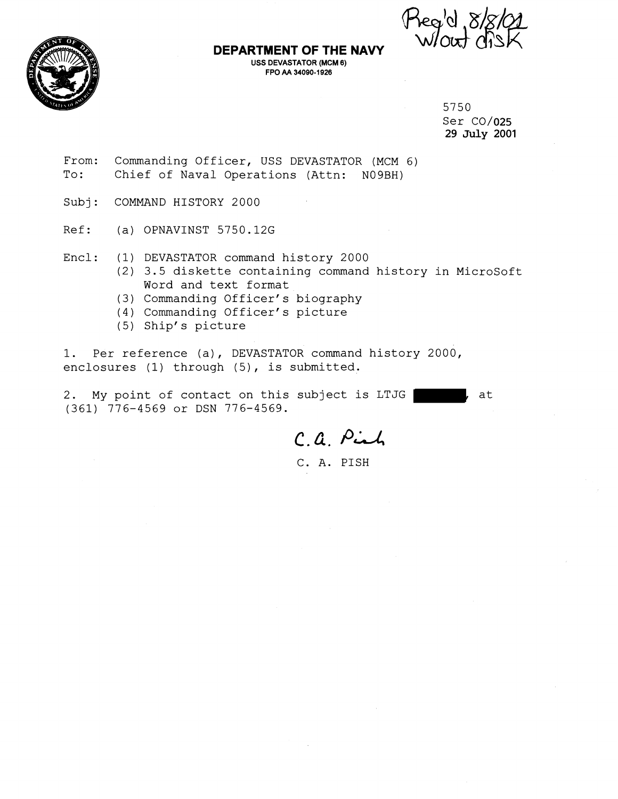

# **DEPARTMENT OF THE NAVY W/OUT FPO AA 34090-1 926**

5750 Ser C0/025 29 **July** 2001

- From: Commanding Officer, USS DEVASTATOR (MCM 6)<br>To: Chief of Naval Operations (Attn: N09BH) Chief of Naval Operations (Attn: N09BH)
- Subj: COMMAND HISTORY 2000
- Ref: (a) OPNAVINST 5750.12G
- Encl: (1) DEVASTATOR command history 2000
	- (2) 3.5 diskette containing command history in Microsoft Word and text format
	- (3) Commanding Officer's biography
	- (4) Commanding Officer's picture
	- (5) Ship's picture

1. Per reference (a), DEVASTATOR command history 2000, enclosures (1) through (5), is submitted.

2. My point of contact on this subject is LTJG (361) 776-4569 or DSN 776-4569.

C.G. **i-'d** 

C. A. PISH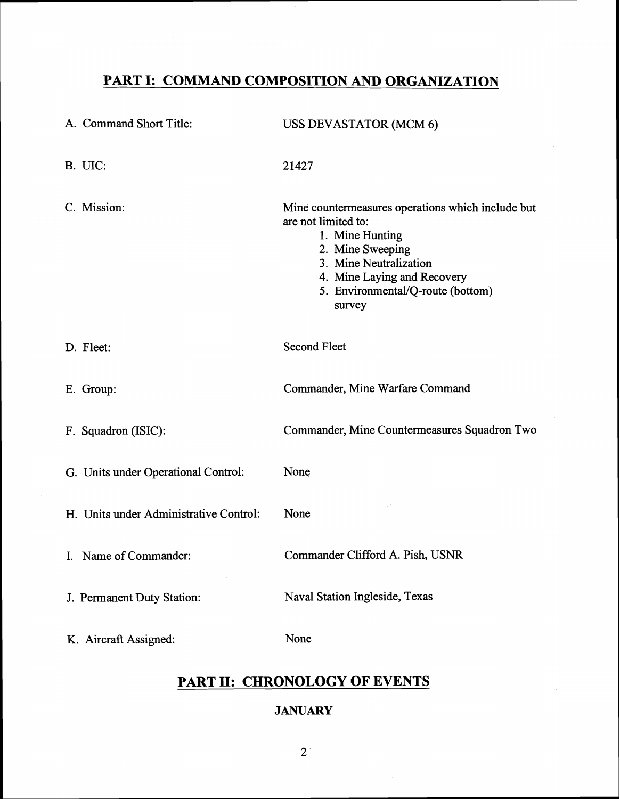# **PART I: COMMAND COMPOSITION AND ORGANIZATION**

| A. Command Short Title:                | <b>USS DEVASTATOR (MCM 6)</b>                                                                                                                                                                                           |
|----------------------------------------|-------------------------------------------------------------------------------------------------------------------------------------------------------------------------------------------------------------------------|
| B. UIC:                                | 21427                                                                                                                                                                                                                   |
| C. Mission:                            | Mine countermeasures operations which include but<br>are not limited to:<br>1. Mine Hunting<br>2. Mine Sweeping<br>3. Mine Neutralization<br>4. Mine Laying and Recovery<br>5. Environmental/Q-route (bottom)<br>survey |
| D. Fleet:                              | <b>Second Fleet</b>                                                                                                                                                                                                     |
| E. Group:                              | Commander, Mine Warfare Command                                                                                                                                                                                         |
| F. Squadron (ISIC):                    | Commander, Mine Countermeasures Squadron Two                                                                                                                                                                            |
| G. Units under Operational Control:    | None                                                                                                                                                                                                                    |
| H. Units under Administrative Control: | None                                                                                                                                                                                                                    |
| I. Name of Commander:                  | Commander Clifford A. Pish, USNR                                                                                                                                                                                        |
| J. Permanent Duty Station:             | Naval Station Ingleside, Texas                                                                                                                                                                                          |
| K. Aircraft Assigned:                  | None                                                                                                                                                                                                                    |

# **PART 11: CHRONOLOGY OF EVENTS**

# **JANUARY**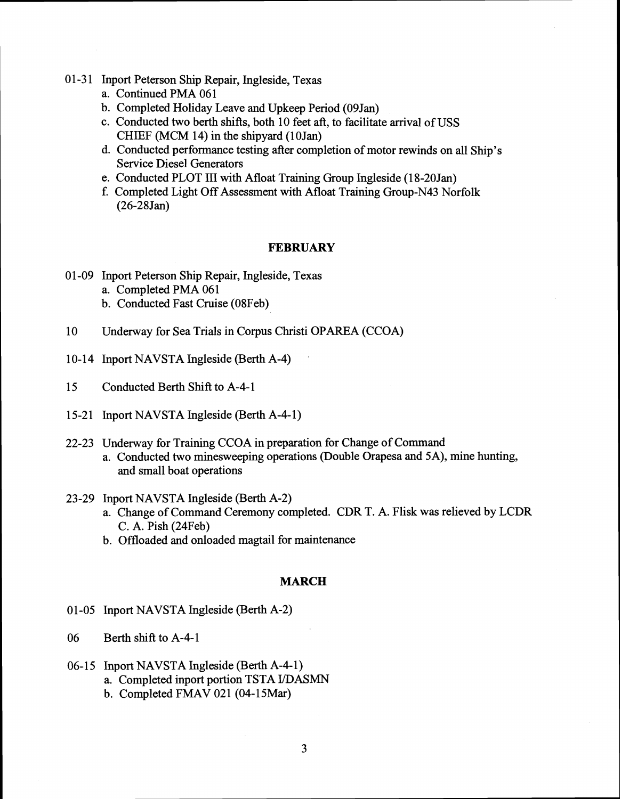- 01-31 Inport Peterson Ship Repair, Ingleside, Texas
	- a. Continued PMA 061
	- b. Completed Holiday Leave and Upkeep Period (09Jan)
	- c. Conducted two berth shifts, both 10 feet aft, to facilitate arrival of USS CHIEF (MCM 14) in the shipyard (10Jan)
	- d. Conducted performance testing after completion of motor rewinds on all Ship's Service Diesel Generators
	- e. Conducted PLOT 111 with Afloat Training Group Ingleside (1 8-20Jan)
	- f. Completed Light Off Assessment with Afloat Training Group-N43 Norfolk  $(26-28$  Jan)

# **FEBRUARY**

- 01-09 Inport Peterson Ship Repair, Ingleside, Texas a. Completed **PMA** 061 b. Conducted Fast Cruise (08Feb)
- 10 Underway for Sea Trials in Corpus Christi OPAREA (CCOA)
- 10-14 Inport NAVSTA Ingleside (Berth A-4)
- 15 Conducted Berth Shift to A-4-1
- 15-21 Inport NAVSTA Ingleside (Berth A-4-1)
- 22-23 Underway for Training CCOA in preparation for Change of Command a. Conducted two minesweeping operations (Double Orapesa and 5A), mine hunting, and small boat operations
- 23-29 Inport NAVSTA Ingleside (Berth A-2)
	- a. Change of Command Ceremony completed. CDR T. A. Flisk was relieved by LCDR C. A. Pish (24Feb)
	- b. Offloaded and onloaded magtail for maintenance

# **MARCH**

- 01-05 Inport NAVSTA Ingleside (Berth A-2)
- 06 Berth shift to A-4-1
- 06-15 Inport NAVSTA Ingleside (Berth A-4-1)
	- a. Completed inport portion TSTA I/DASMN
	- b. Completed FMAV 021 (04-15Mar)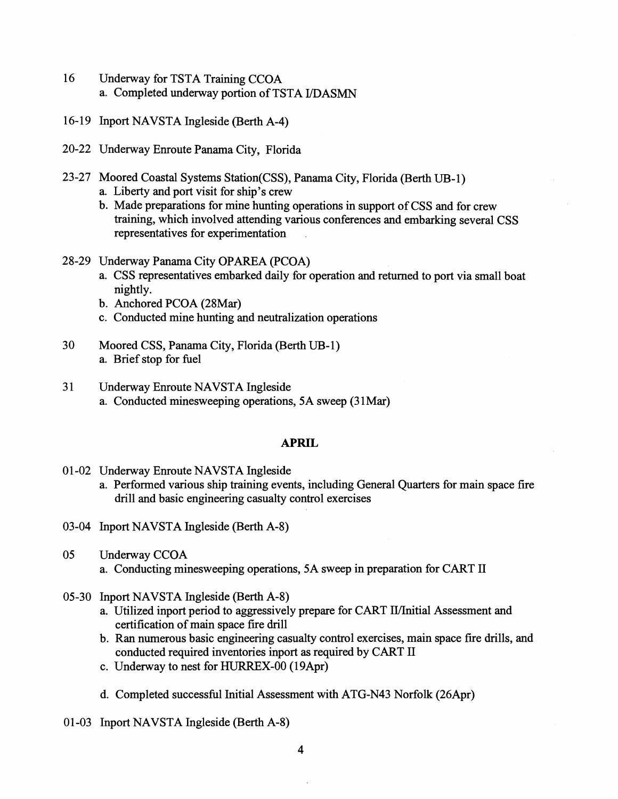- 16 Underway for TSTA Training CCOA a. Completed underway portion of TSTA UDASMN
- 16-19 Inport NAVSTA Ingleside (Berth A-4)
- 20-22 Underway Enroute Panama City, Florida
- 23-27 Moored Coastal Systems Station(CSS), Panama City, Florida (Berth UB-1) a. Liberty and port visit for ship's crew
	- b. Made preparations for mine hunting operations in support of CSS and for crew training, which involved attending various conferences and embarking several CSS representatives for experimentation
- 28-29 Underway Panama City OPAREA (PCOA)
	- a. CSS representatives embarked daily for operation and returned to port via small boat nightly.
	- b. Anchored PCOA (28Mar)
	- c. Conducted mine hunting and neutralization operations
- 30 Moored CSS, Panama City, Florida (Berth UB-1) a. Brief stop for fuel
- 31 Underway Enroute NAVSTA Ingleside a. Conducted minesweeping operations, 5A sweep (31Mar)

# **APRIL**

- 01-02 Underway Enroute NAVSTA Ingleside
	- a. Performed various ship training events, including General Quarters for main space fire drill and basic engineering casualty control exercises
- 03-04 Inport NAVSTA Ingleside (Berth A-8)
- 05 Underway CCOA a. Conducting minesweeping operations, 5A sweep in preparation for CART I1
- 05-30 Inport NAVSTA Ingleside (Berth A-8)
	- a. Utilized inport period to aggressively prepare for CART II/Initial Assessment and certification of main space fire drill
	- b. Ran numerous basic engineering casualty control exercises, main space fire drills, and conducted required inventories inport as required by CART I1
	- c. Underway to nest for HURREX-00 (19Apr)
	- d. Completed successful Initial Assessment with ATG-N43 Norfolk (26Apr)
- 01-03 Inport NAVSTA Ingleside (Berth A-8)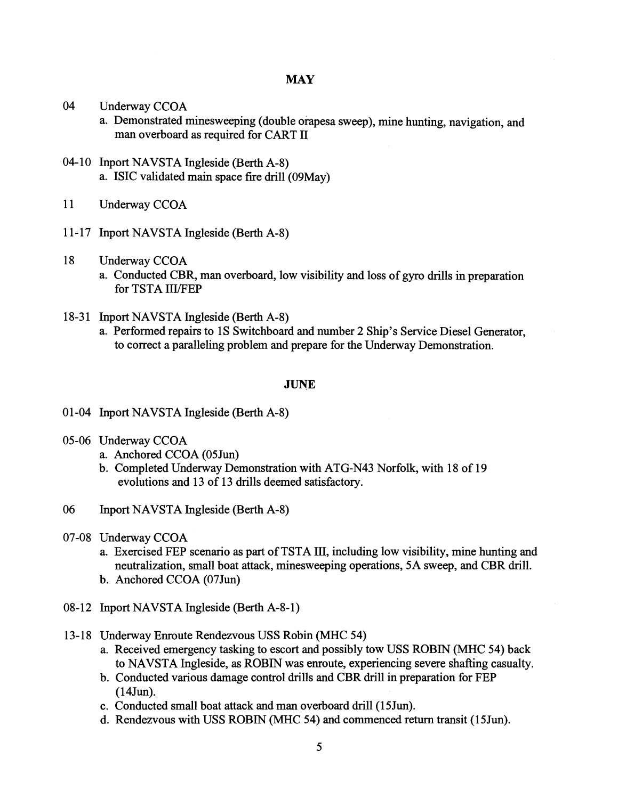- 04 Underway CCOA
	- a. Demonstrated minesweeping (double orapesa sweep), mine hunting, navigation, and man overboard as required for CART I1
- 04-10 Inport NAVSTA Ingleside (Berth A-8) a. ISIC validated main space fire drill (09May)
- 11 Underway CCOA
- 11-17 Inport NAVSTA Ingleside (Berth A-8)
- 18 Underway CCOA
	- a. Conducted CBR, man overboard, low visibility and loss of gyro drills in preparation for TSTA III/FEP
- 18-31 Inport NAVSTA Ingleside (Berth A-8)
	- a. Performed repairs to 1s Switchboard and number 2 Ship's Service Diesel Generator, to correct a paralleling problem and prepare for the Underway Demonstration.

# **JUNE**

- 01-04 Inport NAVSTA Ingleside (Berth A-8)
- 05-06 Underway CCOA
	- a. Anchored CCOA (O5Jun)
	- b. Completed Underway Demonstration with ATG-N43 Norfolk, with 18 of 19 evolutions and 13 of 13 drills deemed satisfactory.
- 06 Inport NAVSTA Ingleside (Berth A-8)
- 07-08 Underway CCOA
	- a. Exercised FEP scenario as part of TSTA 111, including low visibility, mine hunting and neutralization, small boat attack, minesweeping operations, 5A sweep, and CBR drill.
	- b. Anchored CCOA (07Jun)
- 08-12 Inport NAVSTA Ingleside (Berth A-8-1)
- 13-18 Underway Enroute Rendezvous USS Robin (MHC 54)
	- a. Received emergency tasking to escort and possibly tow USS ROBIN (MHC 54) back to NAVSTA Ingleside, as ROBIN was enroute, experiencing severe shafting casualty.
	- b. Conducted various damage control drills and CBR drill in preparation for FEP (14Jun).
	- c. Conducted small boat attack and man overboard drill (15Jun).
	- d. Rendezvous with USS ROBIN (MHC 54) and conmenced return transit (15Jun).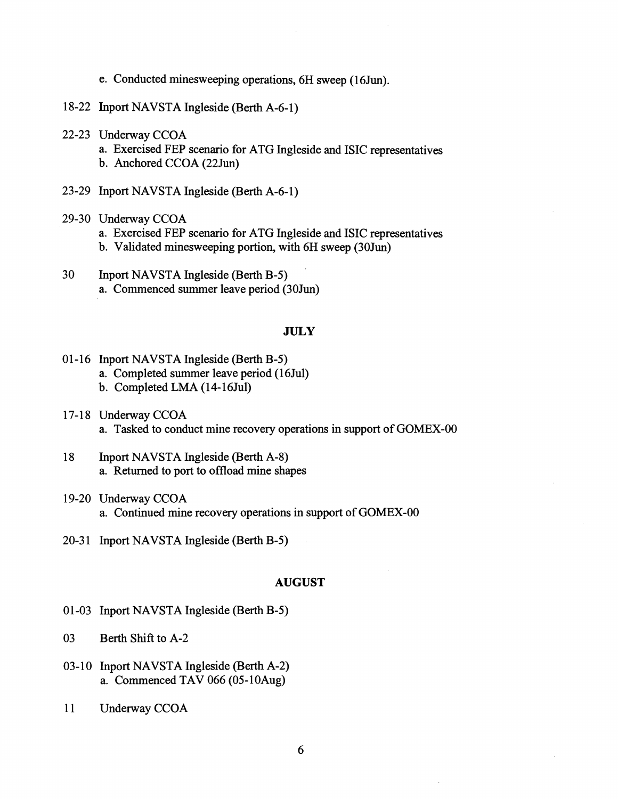- e. Conducted minesweeping operations, 6H sweep (16Jun).
- 18-22 Inport NAVSTA Ingleside (Berth A-6-1)
- 22-23 Underway CCOA
	- a. Exercised FEP scenario for ATG Ingleside and ISIC representatives b. Anchored CCOA (22Jun)
- 23-29 Inport NAVSTA Ingleside (Berth A-6-1)

# 29-30 Underway CCOA

- a. Exercised FEP scenario for ATG Ingleside and ISIC representatives
- b. Validated minesweeping portion, with 6H sweep (30Jun)
- 30 Inport NAVSTA Ingleside (Berth B-5) a. Commenced summer leave period (30Jun)

# **JULY**

- 01-16 Inport NAVSTA Ingleside (Berth B-5) a. Completed summer leave period (16Jul)
	- b. Completed **LMA** (14-16Jul)
- 17-18 Underway CCOA a. Tasked to conduct mine recovery operations in support of GOMEX-00
- 18 Inport NAVSTA Ingleside (Berth A-8) a. Returned to port to offload mine shapes
- 19-20 Underway CCOA a. Continued mine recovery operations in support of GOMEX-00
- 20-31 Inport NAVSTA Ingleside (Berth B-5)

# **AUGUST**

- 01-03 Inport NAVSTA Ingleside (Berth **B-5)**
- 03 Berth Shift to A-2
- 03-10 Inport NAVSTA Ingleside (Berth A-2) a. Commenced TAV  $066 (05-10 \text{Aug})$
- 11 Underway CCOA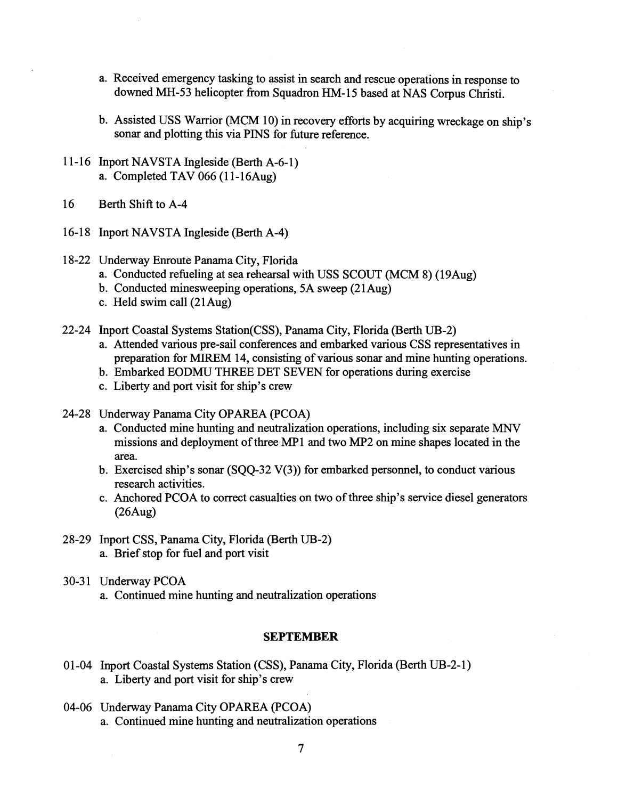- a. Received emergency tasking to assist in search and rescue operations in response to downed MH-53 helicopter from Squadron HM-15 based at NAS Corpus Christi.
- b. Assisted USS Warrior (MCM 10) in recovery efforts by acquiring wreckage on ship's sonar and plotting this via PINS for future reference.
- 11-16 Inport NAVSTA Ingleside (Berth A-6-1) a. Completed TAV  $066$  (11-16Aug)
- 16 Berth Shift to A-4
- 16-18 Inport NAVSTA Ingleside (Berth A-4)

# 18-22 Underway Enroute Panama City, Florida

- a. Conducted refueling at sea rehearsal with USS SCOUT (MCM 8) (19Aug)
- b. Conducted minesweeping operations, 5A sweep (21Aug)
- c. Held swim call (21Aug)
- 22-24 Inport Coastal Systems Station(CSS), Panama City, Florida (Berth UB-2)
	- a. Attended various pre-sail conferences and embarked various CSS representatives in preparation for MIREM 14, consisting of various sonar and mine hunting operations.
	- b. Embarked EODMU THREE DET SEVEN for operations during exercise
	- c. Liberty and port visit for ship's crew
- 24-28 Underway Panama City OPAREA (PCOA)
	- a. Conducted mine hunting and neutralization operations, including six separate MNV missions and deployment of three MP1 and two MP2 on mine shapes located in the area.
	- b. Exercised ship's sonar  $(SQQ-32 V(3))$  for embarked personnel, to conduct various research activities.
	- c. Anchored PCOA to correct casualties on two of three ship's service diesel generators (26Aug)
- 28-29 Inport CSS, Panama City, Florida (Berth UB-2) a. Brief stop for fuel and port visit
- 30-31 Underway PCOA
	- a. Continued mine hunting and neutralization operations

# **SEPTEMBER**

- 01-04 Inport Coastal Systems Station (CSS), Panama City, Florida (Berth UB-2-1) a. Liberty and port visit for ship's crew
- 04-06 Underway Panama City OPAREA (PCOA) a. Continued mine hunting and neutralization operations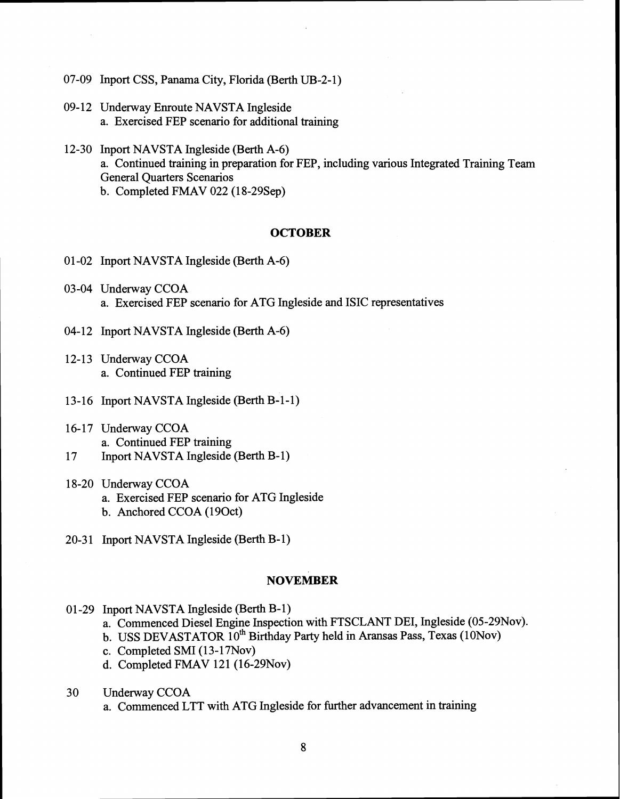- 07-09 Inport CSS, Panama City, Florida (Berth UB-2-1)
- 09-12 Underway Enroute NAVSTA Ingleside a. Exercised FEP scenario for additional training
- 12-30 Inport NAVSTA Ingleside (Berth A-6) a. Continued training in preparation for FEP, including various Integrated Training Team General Quarters Scenarios b. Completed FMAV 022 (18-29Sep)

# **OCTOBER**

- 0 1-02 Inport NAVSTA Ingleside (Berth A-6)
- 03-04 Underway CCOA a. Exercised FEP scenario for ATG Ingleside and ISIC representatives
- 04-12 Inport NAVSTA Ingleside (Berth A-6)
- 12-13 Underway CCOA a. Continued FEP training
- 13-16 Inport NAVSTA Ingleside (Berth B-1-1)
- 16-17 Underway CCOA a. Continued FEP training
- 17 Inport NAVSTA Ingleside (Berth B-1)
- 18-20 Underway CCOA a. Exercised FEP scenario for ATG Ingleside b. Anchored CCOA (190ct)
- 20-31 Inport NAVSTA Ingleside (Berth B-1)

# **NOVEMBER**

- 01 -29 Inport NAVSTA Ingleside (Berth B-1)
	- a. Commenced Diesel Engine Inspection with FTSCLANT DEI, Ingleside (05-29Nov).
	- b. USS DEVASTATOR 10<sup>th</sup> Birthday Party held in Aransas Pass, Texas (10Nov)
	- c. Completed SMI (1 **3-** 17Nov)
	- d. Completed FMAV 121  $(16-29Nov)$
- 30 Underway CCOA
	- a. Commenced LTT with ATG Ingleside for further advancement in training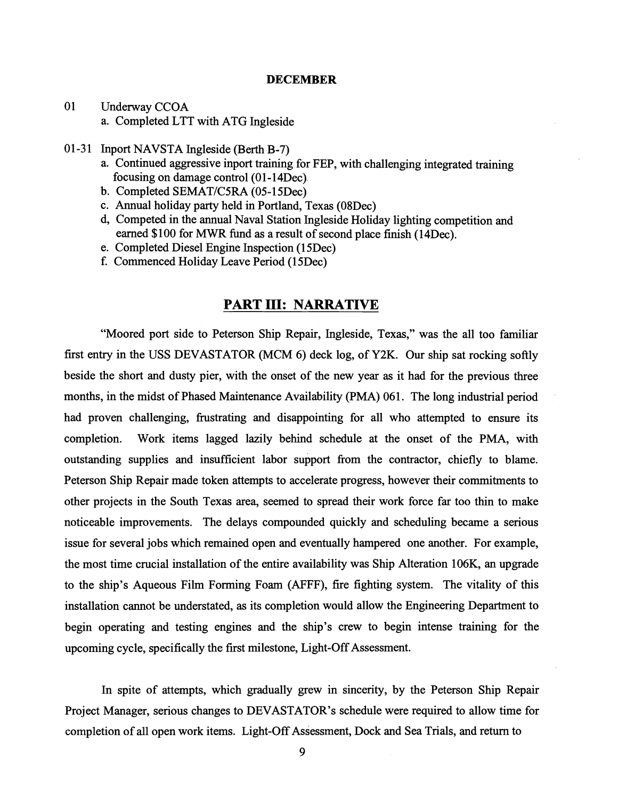### **DECEMBER**

- 01 Underway CCOA a. Completed LTT with ATG Ingleside
- 01-31 Inport NAVSTA Ingleside (Berth B-7)
	- a. Continued aggressive inport training for FEP, with challenging integrated training focusing on damage control (01-14Dec).
	- b. Completed SEMAT/C5RA (05-15Dec)
	- c. Annual holiday party held in Portland, Texas (O8Dec)
	- d, Competed in the annual Naval Station Ingleside Holiday lighting competition and earned \$100 for MWR fund as a result of second place finish (14Dec).
	- e. Completed Diesel Engine Inspection (1 5Dec)
	- f. Commenced Holiday Leave Period (1 5Dec)

# **PART 111: NARRATIVE**

"Moored port side to Peterson Ship Repair, Ingleside, Texas," was the all too familiar first entry in the USS DEVASTATOR (MCM 6) deck log, of **Y2K.** Our ship sat rocking softly beside the short and dusty pier, with the onset of the new year as it had for the previous three months, in the midst of Phased Maintenance Availability (PMA) 061. The long industrial period had proven challenging, frustrating and disappointing for all who attempted to ensure its completion. Work items lagged lazily behind schedule at the onset of the PMA, with outstanding supplies and insufficient labor support from the contractor, chiefly to blame. Peterson Ship Repair made token attempts to accelerate progress, however their commitments to other projects in the South Texas area, seemed to spread their work force far too thin to make noticeable improvements. The delays compounded quickly and scheduling became a serious issue for several jobs which remained open and eventually hampered one another. For example, the most time crucial installation of the entire availability was Ship Alteration 106K, an upgrade to the ship's Aqueous Film Forming Foam (AFFF), fire fighting system. The vitality of this installation cannot be understated, as its completion would allow the Engineering Department to begin operating and testing engines and the ship's crew to begin intense training for the upcoming cycle, specifically the first milestone, Light-Off Assessment.

In spite of attempts, which gradually grew in sincerity, by the Peterson Ship Repair Project Manager, serious changes to DEVASTATOR'S schedule were required to allow time for completion of all open work items. Light-Off Assessment, Dock and Sea Trials, and return to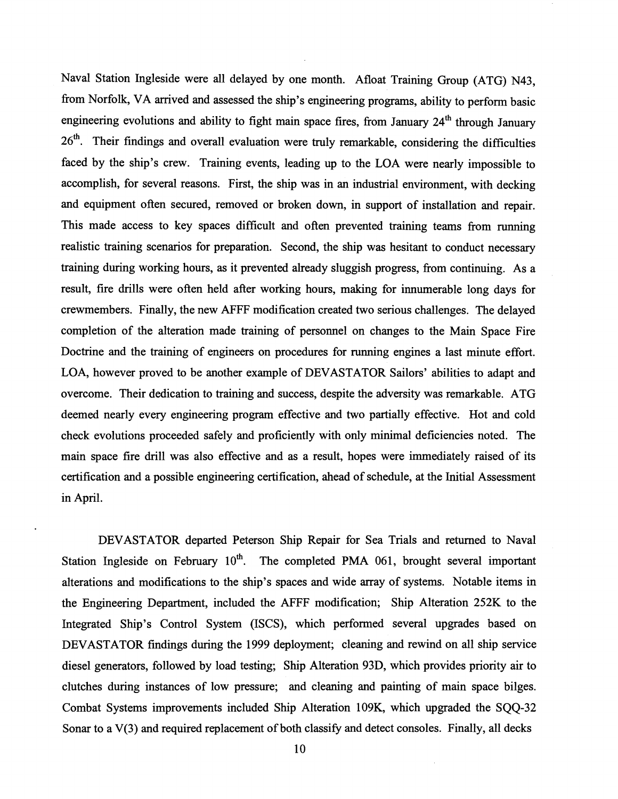Naval Station Ingleside were all delayed by one month. Afloat Training Group (ATG) N43, from Norfolk, VA arrived and assessed the ship's engineering programs, ability to perform basic engineering evolutions and ability to fight main space fires, from January  $24<sup>th</sup>$  through January 26<sup>th</sup>. Their findings and overall evaluation were truly remarkable, considering the difficulties faced by the ship's crew. Training events, leading up to the LOA were nearly impossible to accomplish, for several reasons. First, the ship was in an industrial environment, with decking and equipment often secured, removed or broken down, in support of installation and repair. This made access to key spaces difficult and often prevented training teams from running realistic training scenarios for preparation. Second, the ship was hesitant to conduct necessary training during working hours, as it prevented already sluggish progress, from continuing. As a result, fire drills were often held after working hours, making for innumerable long days for crewmembers. Finally, the new AFFF modification created two serious challenges. The delayed completion of the alteration made training of personnel on changes to the Main Space Fire Doctrine and the training of engineers on procedures for running engines a last minute effort. LOA, however proved to be another example of DEVASTATOR Sailors' abilities to adapt and overcome. Their dedication to training and success, despite the adversity was remarkable. ATG deemed nearly every engineering program effective and two partially effective. Hot and cold check evolutions proceeded safely and proficiently with only minimal deficiencies noted. The main space fire drill was also effective and as a result, hopes were immediately raised of its certification and a possible engineering certification, ahead of schedule, at the Initial Assessment in April.

DEVASTATOR departed Peterson Ship Repair for Sea Trials and returned to Naval Station Ingleside on February  $10^{th}$ . The completed PMA 061, brought several important alterations and modifications to the ship's spaces and wide array of systems. Notable items in the Engineering Department, included the AFFF modification; Ship Alteration 252K to the Integrated Ship's Control System (ISCS), which performed several upgrades based on DEVASTATOR findings during the 1999 deployment; cleaning and rewind on all ship service diesel generators, followed by load testing; Ship Alteration **93D,** which provides priority air to clutches during instances of low pressure; and cleaning and painting of main space bilges. Combat Systems improvements included Ship Alteration 109K, which upgraded the SQQ-32 Sonar to a V(3) and required replacement of both classify and detect consoles. Finally, all decks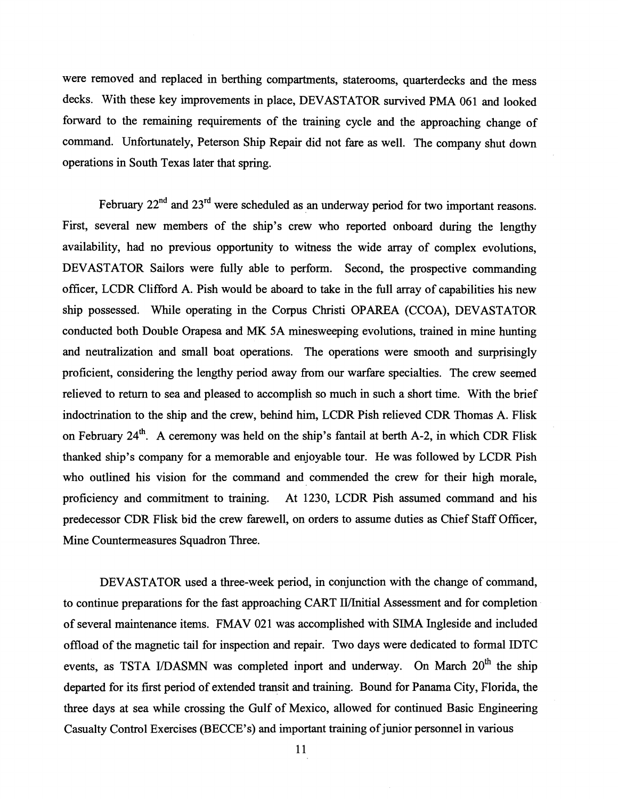were removed and replaced in berthing compartments, staterooms, quarterdecks and the mess decks. With these key improvements in place, DEVASTATOR survived PMA 061 and looked forward to the remaining requirements of the training cycle and the approaching change of command. Unfortunately, Peterson Ship Repair did not fare as well. The company shut down operations in South Texas later that spring.

February  $22<sup>nd</sup>$  and  $23<sup>rd</sup>$  were scheduled as an underway period for two important reasons. First, several new members of the ship's crew who reported onboard during the lengthy availability, had no previous opportunity to witness the wide array of complex evolutions, DEVASTATOR Sailors were fully able to perform. Second, the prospective commanding officer, LCDR Clifford A. Pish would be aboard to take in the full array of capabilities his new ship possessed. While operating in the Corpus Christi OPAREA (CCOA), DEVASTATOR conducted both Double Orapesa and MK 5A minesweeping evolutions, trained in mine hunting and neutralization and small boat operations. The operations were smooth and surprisingly proficient, considering the lengthy period away from our warfare specialties. The crew seemed relieved to return to sea and pleased to accomplish so much in such a short time. With the brief indoctrination to the ship and the crew, behind him, LCDR Pish relieved CDR Thomas A. Flisk on February  $24^{th}$ . A ceremony was held on the ship's fantail at berth A-2, in which CDR Flisk thanked ship's company for a memorable and enjoyable tour. He was followed by LCDR Pish who outlined his vision for the command and commended the crew for their high morale, proficiency and commitment to training. At 1230, LCDR Pish assumed command and his predecessor CDR Flisk bid the crew farewell, on orders to assume duties as Chief Staff Officer, Mine Countermeasures Squadron Three.

DEVASTATOR used a three-week period, in conjunction with the change of command, to continue preparations for the fast approaching CART II/Initial Assessment and for completion of several maintenance items. FMAV 021 was accomplished with SIMA Ingleside and included offload of the magnetic tail for inspection and repair. Two days were dedicated to formal IDTC events, as TSTA I/DASMN was completed inport and underway. On March 20<sup>th</sup> the ship departed for its first period of extended transit and training. Bound for Panama City, Florida, the three days at sea while crossing the Gulf of Mexico, allowed for continued Basic Engineering Casualty Control Exercises (BECCE's) and important training of junior personnel in various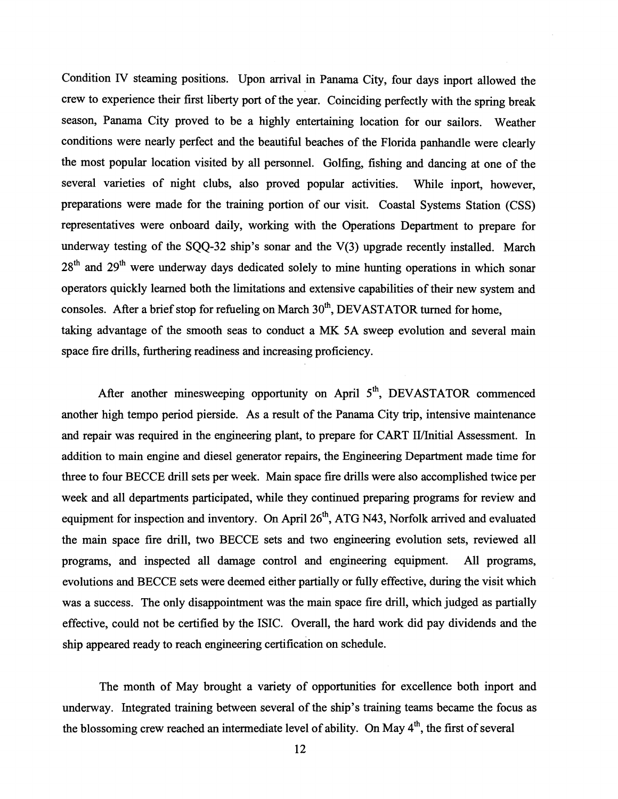Condition IV steaming positions. Upon arrival in Panama City, four days inport allowed the crew to experience their first liberty port of the year. Coinciding perfectly with the spring break season, Panama City proved to be a highly entertaining location for our sailors. Weather conditions were nearly perfect and the beautiful beaches of the Florida panhandle were clearly the most popular location visited by all personnel. Golfing, fishing and dancing at one of the several varieties of night clubs, also proved popular activities. While inport, however, preparations were made for the training portion of our visit. Coastal Systems Station (CSS) representatives were onboard daily, working with the Operations Department to prepare for underway testing of the SQQ-32 ship's sonar and the V(3) upgrade recently installed. March  $28<sup>th</sup>$  and  $29<sup>th</sup>$  were underway days dedicated solely to mine hunting operations in which sonar operators quickly learned both the limitations and extensive capabilities of their new system and consoles. After a brief stop for refueling on March  $30<sup>th</sup>$ , DEVASTATOR turned for home, taking advantage of the smooth seas to conduct a MK 5A sweep evolution and several main space fire drills, furthering readiness and increasing proficiency.

After another minesweeping opportunity on April  $5<sup>th</sup>$ , DEVASTATOR commenced another high tempo period pierside. As a result of the Panama City trip, intensive maintenance and repair was required in the engineering plant, to prepare for CART II/Initial Assessment. In addition to main engine and diesel generator repairs, the Engineering Department made time for three to four BECCE drill sets per week. Main space fire drills were also accomplished twice per week and all departments participated, while they continued preparing programs for review and equipment for inspection and inventory. On April 26<sup>th</sup>, ATG N43, Norfolk arrived and evaluated the main space fire drill, two BECCE sets and two engineering evolution sets, reviewed all programs, and inspected all damage control and engineering equipment. All programs, evolutions and BECCE sets were deemed either partially or fully effective, during the visit which was a success. The only disappointment was the main space fire drill, which judged as partially effective, could not be certified by the ISIC. Overall, the hard work did pay dividends and the ship appeared ready to reach engineering certification on schedule.

The month of May brought a variety of opportunities for excellence both inport and underway. Integrated training between several of the ship's training teams became the focus as the blossoming crew reached an intermediate level of ability. On May  $4<sup>th</sup>$ , the first of several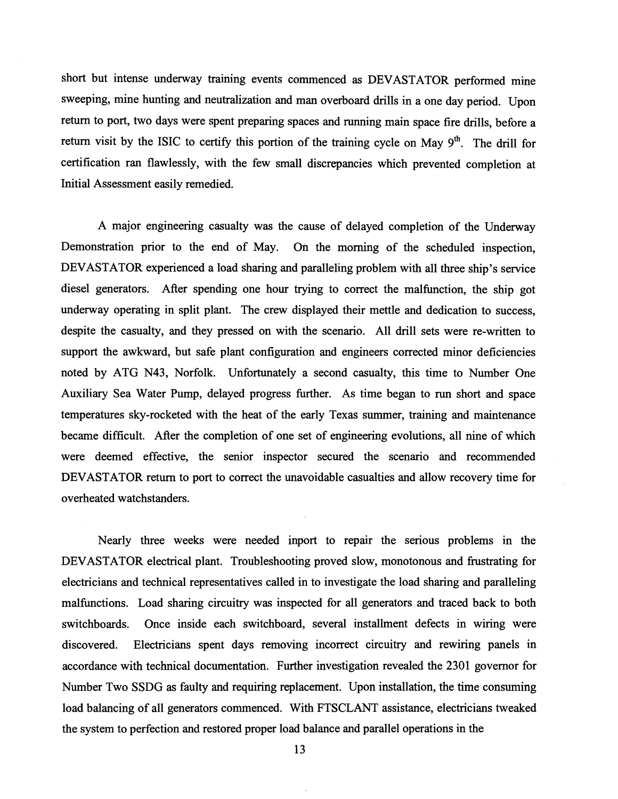short but intense underway training events commenced as DEVASTATOR performed mine sweeping, mine hunting and neutralization and man overboard drills in a one day period. Upon return to port, two days were spent preparing spaces and running main space fire drills, before a return visit by the ISIC to certify this portion of the training cycle on May 9<sup>th</sup>. The drill for certification ran flawlessly, with the few small discrepancies which prevented completion at Initial Assessment easily remedied.

A major engineering casualty was the cause of delayed completion of the Underway Demonstration prior to the end of May. On the morning of the scheduled inspection, DEVASTATOR experienced a load sharing and paralleling problem with all three ship's service diesel generators. After spending one hour trying to correct the malfunction, the ship got underway operating in split plant. The crew displayed their mettle and dedication to success, despite the casualty, and they pressed on with the scenario. All drill sets were re-written to support the awkward, but safe plant configuration and engineers corrected minor deficiencies noted by ATG N43, Norfolk. Unfortunately a second casualty, this time to Number One Auxiliary Sea Water Pump, delayed progress further. As time began to run short and space temperatures sky-rocketed with the heat of the early Texas summer, training and maintenance became difficult. After the completion of one set of engineering evolutions, all nine of which were deemed effective, the senior inspector secured the scenario and recommended DEVASTATOR return to port to correct the unavoidable casualties and allow recovery time for overheated watchstanders.

Nearly three weeks were needed inport to repair the serious problems in the DEVASTATOR electrical plant. Troubleshooting proved slow, monotonous and frustrating for electricians and technical representatives called in to investigate the load sharing and paralleling malfunctions. Load sharing circuitry was inspected for all generators and traced back to both switchboards. Once inside each switchboard, several installment defects in wiring were discovered. Electricians spent days removing incorrect circuitry and rewiring panels in accordance with technical documentation. Further investigation revealed the 2301 governor for Number Two SSDG as faulty and requiring replacement. Upon installation, the time consuming load balancing of all generators commenced. With FTSCLANT assistance, electricians tweaked the system to perfection and restored proper load balance and parallel operations in the

**13**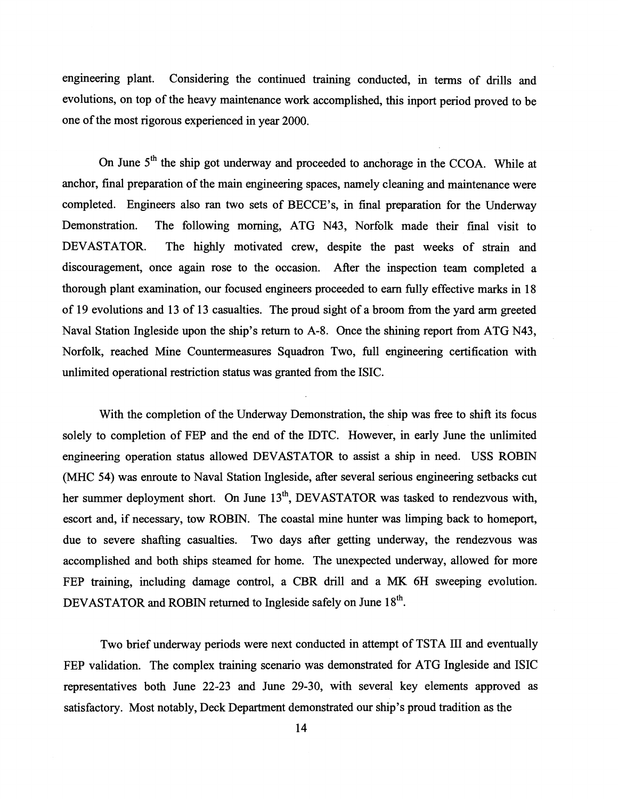engineering plant. Considering the continued training conducted, in terms of drills and evolutions, on top of the heavy maintenance work accomplished, this inport period proved to be one of the most rigorous experienced in year 2000.

On June 5<sup>th</sup> the ship got underway and proceeded to anchorage in the CCOA. While at anchor, final preparation of the main engineering spaces, namely cleaning and maintenance were completed. Engineers also ran two sets of BECCE's, in final preparation for the Underway Demonstration. The following morning, ATG N43, Norfolk made their final visit to DEVASTATOR. The highly motivated crew, despite the past weeks of strain and discouragement, once again rose to the occasion. After the inspection team completed a thorough plant examination, our focused engineers proceeded to earn fully effective marks in 18 of 19 evolutions and 13 of 13 casualties. The proud sight of a broom from the yard arm greeted Naval Station Ingleside upon the ship's return to A-8. Once the shining report from ATG N43, Norfolk, reached Mine Countermeasures Squadron Two, full engineering certification with unlimited operational restriction status was granted from the ISIC.

With the completion of the Underway Demonstration, the ship was free to shift its focus solely to completion of FEP and the end of the IDTC. However, in early June the unlimited engineering operation status allowed DEVASTATOR to assist a ship in need. USS ROBIN (MHC 54) was enroute to Naval Station Ingleside, after several serious engineering setbacks cut her summer deployment short. On June  $13<sup>th</sup>$ , DEVASTATOR was tasked to rendezvous with, escort and, if necessary, tow ROBIN. The coastal mine hunter was limping back to homeport, due to severe shafting casualties. Two days after getting underway, the rendezvous was accomplished and both ships steamed for home. The unexpected underway, allowed for more FEP training, including damage control, a CBR drill and a MK **6H** sweeping evolution. DEVASTATOR and ROBIN returned to Ingleside safely on June 18<sup>th</sup>.

Two brief underway periods were next conducted in attempt of TSTA 111 and eventually FEP validation. The complex training scenario was demonstrated for ATG Ingleside and ISIC representatives both June 22-23 and June 29-30, with several key elements approved as satisfactory. Most notably, Deck Department demonstrated our ship's proud tradition as the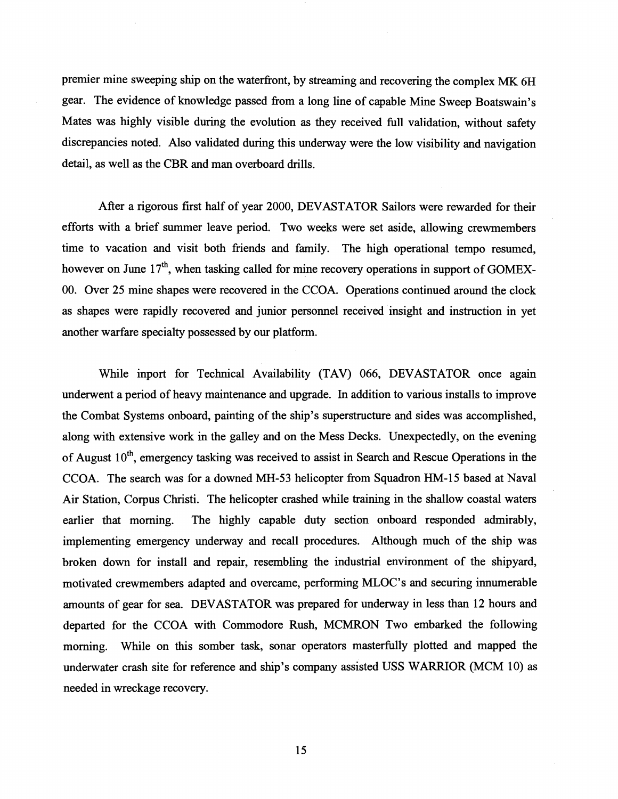premier mine sweeping ship on the waterfront, by streaming and recovering the complex MK 6H gear. The evidence of knowledge passed fiom a long line of capable Mine Sweep Boatswain's Mates was highly visible during the evolution as they received full validation, without safety discrepancies noted. Also validated during this underway were the low visibility and navigation detail, as well as the CBR and man overboard drills.

After a rigorous first half of year 2000, DEVASTATOR Sailors were rewarded for their efforts with a brief summer leave period. Two weeks were set aside, allowing crewrnembers time to vacation and visit both friends and family. The high operational tempo resumed, however on June  $17<sup>th</sup>$ , when tasking called for mine recovery operations in support of GOMEX-00. Over 25 mine shapes were recovered in the CCOA. Operations continued around the clock as shapes were rapidly recovered and junior personnel received insight and instruction in yet another warfare specialty possessed by our platform.

While inport for Technical Availability (TAV) 066, DEVASTATOR once again underwent a period of heavy maintenance and upgrade. In addition to various installs to improve the Combat Systems onboard, painting of the ship's superstructure and sides was accomplished, along with extensive work in the galley and on the Mess Decks. Unexpectedly, on the evening of August  $10^{th}$ , emergency tasking was received to assist in Search and Rescue Operations in the CCOA. The search was for a downed MH-53 helicopter fiom Squadron HM-15 based at Naval Air Station, Corpus Christi. The helicopter crashed while training in the shallow coastal waters earlier that morning. The highly capable duty section onboard responded admirably, implementing emergency underway and recall procedures. Although much of the ship was broken down for install and repair, resembling the industrial environment of the shipyard, motivated crewrnembers adapted and overcame, performing MLOC's and securing innumerable amounts of gear for sea. DEVASTATOR was prepared for underway in less than 12 hours and departed for the CCOA with Commodore Rush, MCMRON Two embarked the following morning. While on this somber task, sonar operators masterfully plotted and mapped the underwater crash site for reference and ship's company assisted USS WARRIOR (MCM 10) as needed in wreckage recovery.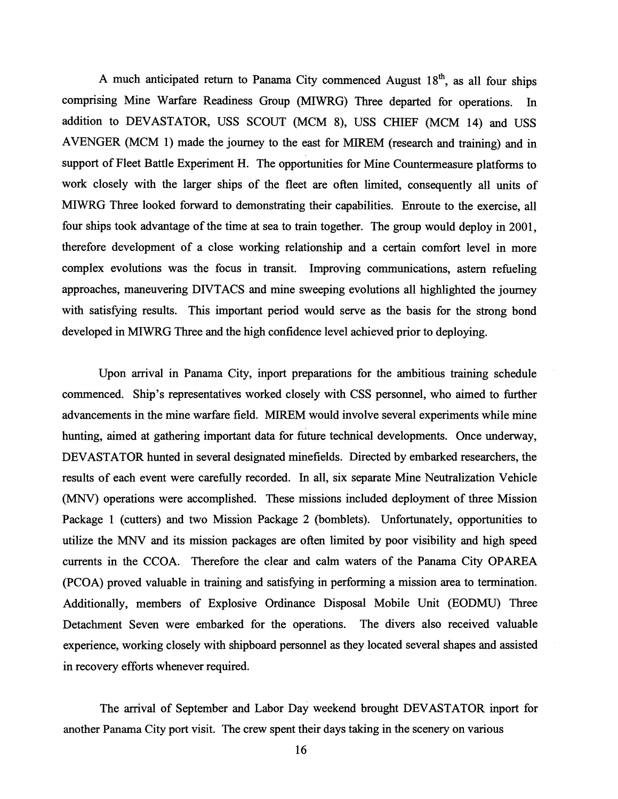A much anticipated return to Panama City commenced August  $18<sup>th</sup>$ , as all four ships comprising Mine Warfare Readiness Group (MIWRG) Three departed for operations. In addition to DEVASTATOR, USS SCOUT (MCM 8), USS CHIEF (MCM 14) and USS AVENGER (MCM 1) made the journey to the east for MIREM (research and training) and in support of Fleet Battle Experiment H. The opportunities for Mine Countermeasure platforms to work closely with the larger ships of the fleet are often limited, consequently all units of MIWRG Three looked forward to demonstrating their capabilities. Enroute to the exercise, all four ships took advantage of the time at sea to train together. The group would deploy in 2001, therefore development of a close working relationship and a certain comfort level in more complex evolutions was the focus in transit. Improving communications, astern refueling approaches, maneuvering DIVTACS and mine sweeping evolutions all highlighted the journey with satisfying results. This important period would serve as the basis for the strong bond developed in MIWRG Three and the high confidence level achieved prior to deploying.

Upon arrival in Panama City, inport preparations for the ambitious training schedule commenced. Ship's representatives worked closely with CSS personnel, who aimed to further advancements in the mine warfare field. MIREM would involve several experiments while mine hunting, aimed at gathering important data for future technical developments. Once underway, DEVASTATOR hunted in several designated minefields. Directed by embarked researchers, the results of each event were carefully recorded. In all, six separate Mine Neutralization Vehicle (MNV) operations were accomplished. These missions included deployment of three Mission Package 1 (cutters) and two Mission Package 2 (bomblets). Unfortunately, opportunities to utilize the MNV and its mission packages are often limited by poor visibility and high speed currents in the CCOA. Therefore the clear and calm waters of the Panama City OPAREA (PCOA) proved valuable in training and satisfying in performing a mission area to termination. Additionally, members of Explosive Ordinance Disposal Mobile Unit (EODMU) Three Detachment Seven were embarked for the operations. The divers also received valuable experience, working closely with shipboard personnel as they located several shapes and assisted in recovery efforts whenever required.

The arrival of September and Labor Day weekend brought DEVASTATOR inport for another Panama City port visit. The crew spent their days taking in the scenery on various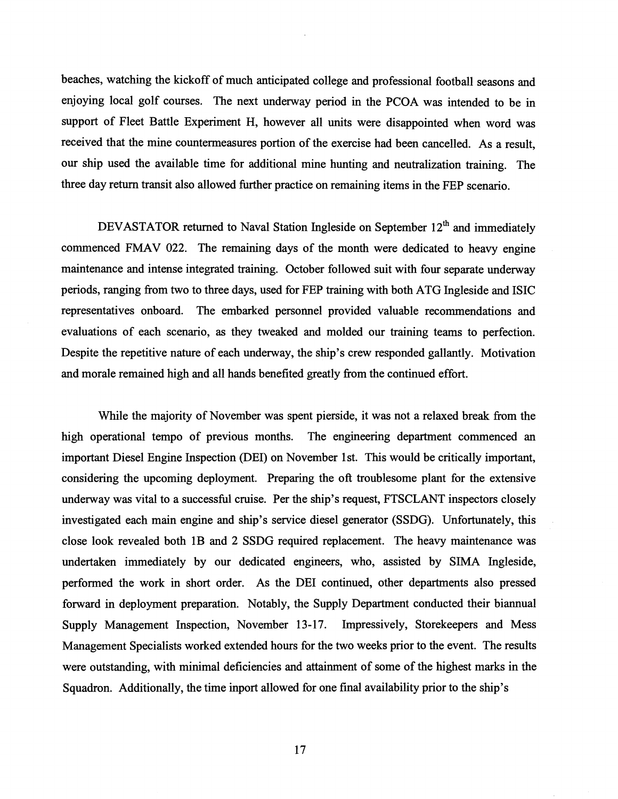beaches, watching the kickoff of much anticipated college and professional football seasons and enjoying local golf courses. The next underway period in the PCOA was intended to be in support of Fleet Battle Experiment H, however all units were disappointed when word was received that the mine countermeasures portion of the exercise had been cancelled. As a result, our ship used the available time for additional mine hunting and neutralization training. The three day return transit also allowed further practice on remaining items in the FEP scenario.

DEVASTATOR returned to Naval Station Ingleside on September  $12<sup>th</sup>$  and immediately commenced FMAV 022. The remaining days of the month were dedicated to heavy engine maintenance and intense integrated training. October followed suit with four separate underway periods, ranging from two to three days, used for FEP training with both ATG Ingleside and ISIC representatives onboard. The embarked personnel provided valuable recommendations and evaluations of each scenario, as they tweaked and molded our training teams to perfection. Despite the repetitive nature of each underway, the ship's crew responded gallantly. Motivation and morale remained high and all hands benefited greatly from the continued effort.

While the majority of November was spent pierside, it was not a relaxed break from the high operational tempo of previous months. The engineering department conmenced an important Diesel Engine Inspection (DEI) on November 1st. This would be critically important, considering the upcoming deployment. Preparing the oft troublesome plant for the extensive underway was vital to a successful cruise. Per the ship's request, FTSCLANT inspectors closely investigated each main engine and ship's service diesel generator (SSDG). Unfortunately, this close look revealed both 1B and **2** SSDG required replacement. The heavy maintenance was undertaken immediately by our dedicated engineers, who, assisted by SIMA Ingleside, performed the work in short order. As the DEI continued, other departments also pressed forward in deployment preparation. Notably, the Supply Department conducted their biannual Supply Management Inspection, November 13-17. Impressively, Storekeepers and Mess Management Specialists worked extended hours for the two weeks prior to the event. The results were outstanding, with minimal deficiencies and attainment of some of the highest marks in the Squadron. Additionally, the time inport allowed for one final availability prior to the ship's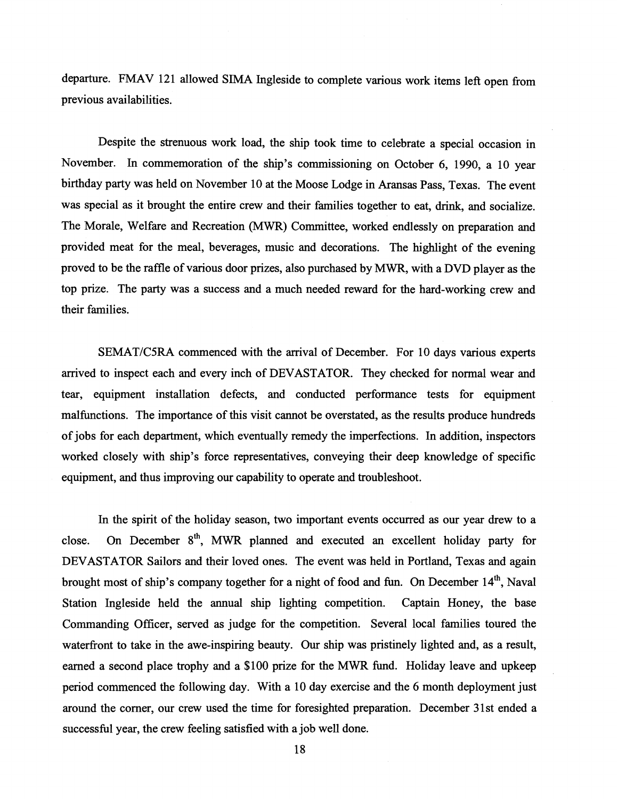departure. FMAV 121 allowed SIMA Ingleside to complete various work items lefl open from previous availabilities.

Despite the strenuous work load, the ship took time to celebrate a special occasion in November. In commemoration of the ship's commissioning on October 6, 1990, a 10 year birthday party was held on November 10 at the Moose Lodge in Aransas Pass, Texas. The event was special as it brought the entire crew and their families together to eat, drink, and socialize. The Morale, Welfare and Recreation WWR) Committee, worked endlessly on preparation and provided meat for the meal, beverages, music and decorations. The highlight of the evening proved to be the raffle of various door prizes, also purchased by MWR, with a DVD player as the top prize. The party was a success and a much needed reward for the hard-working crew and their families.

SEMATICSRA commenced with the arrival of December. For 10 days various experts arrived to inspect each and every inch of DEVASTATOR. They checked for normal wear and tear, equipment installation defects, and conducted performance tests for equipment malfunctions. The importance of this visit cannot be overstated, as the results produce hundreds of jobs for each department, which eventually remedy the imperfections. In addition, inspectors worked closely with ship's force representatives, conveying their deep knowledge of specific equipment, and thus improving our capability to operate and troubleshoot.

In the spirit of the holiday season, two important events occurred as our year drew to a close. On December 8'h, MWR planned and executed an excellent holiday party for DEVASTATOR Sailors and their loved ones. The event was held in Portland, Texas and again brought most of ship's company together for a night of food and fun. On December 14", Naval Station Ingleside held the annual ship lighting competition. Captain Honey, the base Commanding Officer, served as judge for the competition. Several local families toured the waterfront to take in the awe-inspiring beauty. Our ship was pristinely lighted and, as a result, earned a second place trophy and a \$100 prize for the MWR fund. Holiday leave and upkeep period commenced the following day. With a 10 day exercise and the *6* month deployment just around the corner, our crew used the time for foresighted preparation. December 31st ended a successful year, the crew feeling satisfied with a job well done.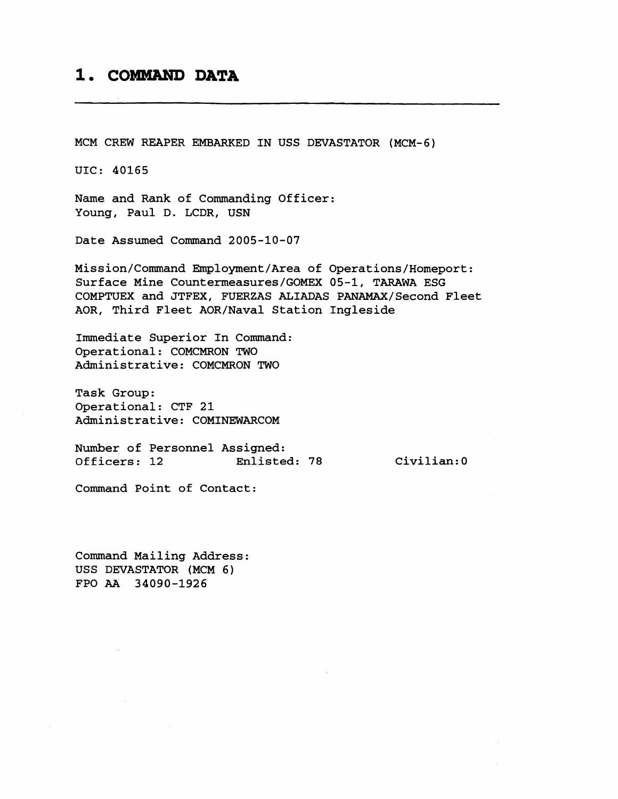# 1. COMMAND DATA

MCM CREW REAPER EMBARKED IN USS DEVASTATOR (MCM-6)

UIC: 40165

Name and Rank of Commanding Officer: Young, Paul D. LCDR, USN

Date Assumed Command 2005-10-07

Mission/Command Ernployment/Area of Operations/Homeport: Surface Mine Countemeasures/GOMEX 05-1, TARAWA ESG COMPTUEX and JTFEX, FUERZAS ALIADAS PANAMAX/Second Fleet AOR, Third Fleet AOR/Naval Station Ingleside

Immediate Superior In Command: Operational: COMCMRON TWO Administrative: COMCMRON TWO

Task Group: Operational: CTF 21 Administrative: COMINEWARCOM

Number of Personnel Assigned: Officers: 12 Enlisted: 78

Civilian:0

Command Point of Contact:

Command Mailing Address: USS DEVASTATOR (MCM 6) FPO **AA** 34090-1926